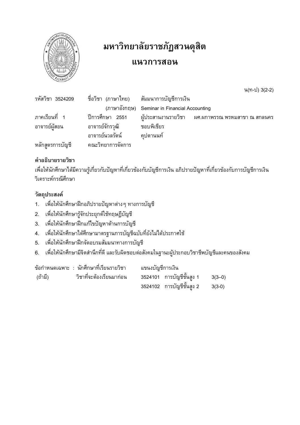

# มหาวิทยาลัยราชภัฏสวนดุสิต

## แนวการสอน

น(ท-ป) 3(2-2)

| รหัสวิชา 3524209                   | ี ชื่อวิชา (ภาษาไทย)   สัมมนาการบัญชีการเงิน |                                              |                                                                                              |
|------------------------------------|----------------------------------------------|----------------------------------------------|----------------------------------------------------------------------------------------------|
|                                    |                                              | (ภาษาอังกฤษ) Seminar in Financial Accounting |                                                                                              |
|                                    |                                              |                                              | ภาคเรียนที่ 1   ปีการศึกษา 2551  ผู้ประสานงานรายวิชา  ผศ.ผกาพรรณ $\,$ พรหมสาขา ณ $\,$ สกลนคร |
| อาจารย์ผู้สอน                      | อาจารย์จักรวุฒิ                              | ชอบพิเชียร                                   |                                                                                              |
|                                    | อาจารย์นวลรัตน์                              | ิคปตานนท์                                    |                                                                                              |
| หลักสูตรการบัญชี คณะวิทยาการจัดการ |                                              |                                              |                                                                                              |

## คำอธิบายรายวิชา

เพื่อให้นักศึกษาได้มีความรู้เกี่ยวกับปัญหาที่เกี่ยวข้องกับบัญชีการเงิน อภิปรายปัญหาที่เกี่ยวข้องกับการบัญชีการเงิน วิเคราะห์กรณีศึกษา

### วัตถุประสงค์

- ้ เพื่อให้นักศึกษาฝึกอภิปรายปัญหาต่าง ๆ ทางการบัญชี  $1.$
- เพื่อให้นักศึกษารู้จักประยุกต์ใช้ทฤษฎีบัญชี  $2.$
- เพื่อให้นักศึกษาฝึกแก้ไขปัญหาด้านการบัญชี  $3.$
- 4. เพื่อให้นักศึกษาได้ศึกษามาตรฐานการบัญชีฉบับที่ยังไม่ได้ประกาศใช้
- 5. เพื่อให้นักศึกษาฝึกจัดอบรมสัมมนาทางการบัญชี
- 6. เพื่อให้นักศึกษามีจิตสำนึกที่ดี และรับผิดชอบต่อสังคมในฐานะผู้ประกอบวิชาชีพบัญชีและคนของสังคม

|         | ข้อกำหนดเฉพาะ : นักศึกษาที่เรียนรายวิชา   แขนงบัญชีการเงิน  |                                        |  |
|---------|-------------------------------------------------------------|----------------------------------------|--|
| (ถ้ามี) | วิชาที่จะต้องเรียนมาก่อน 3524101 การบัญชีชั้นสูง 1   3(3–0) |                                        |  |
|         |                                                             | 3524102 การบัญชีชั้นสง 2        3(3-0) |  |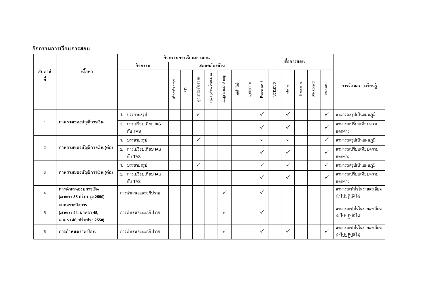#### กิจกรรมการเรียนการสอน

|                |                                                                   |                                  |               |        | กิจกรรมการเรียนการสอน |                       |                      |           |           | สื่อการสอน   |         |              |           |            |              |                                            |
|----------------|-------------------------------------------------------------------|----------------------------------|---------------|--------|-----------------------|-----------------------|----------------------|-----------|-----------|--------------|---------|--------------|-----------|------------|--------------|--------------------------------------------|
|                |                                                                   | กิจกรรม                          | สอดคล้องด้าน  |        |                       |                       |                      |           |           |              |         |              |           |            |              |                                            |
| ที่            | เนื้อหา<br>สัปดาห์                                                |                                  | บริการวิชาการ | រីត្រូ | คุณธรรมจริยธรรม       | กำนุบำรุงศิลปวัฒนธรรม | นันผู้เรียนเป็นสำคัญ | เทคโนโลยี | บุคลิกภาพ | Power point  | VCD/DVD | Internet     | E-leaming | Blackboard | Website      | การวัดผลการเรียนรู้                        |
|                |                                                                   | 1. บรรยายสรุป                    |               |        | $\checkmark$          |                       |                      |           |           | $\checkmark$ |         | $\checkmark$ |           |            | $\checkmark$ | สามารถสรุปเป็นแผนภูมิ                      |
| -1             | ภาพรวมของบัญชีการเงิน                                             | 2. การเปรียบเทียบ IAS<br>กับ TAS |               |        |                       |                       |                      |           |           | $\checkmark$ |         | $\checkmark$ |           |            | $\checkmark$ | สามารถเปรียบเทียบความ<br>แตกต่าง           |
|                |                                                                   | 1. บรรยายสรุป                    |               |        | $\checkmark$          |                       |                      |           |           | $\checkmark$ |         | $\checkmark$ |           |            | $\checkmark$ | สามารถสรุปเป็นแผนภูมิ                      |
| $\overline{2}$ | ภาพรวมของบัญชีการเงิน (ต่อ)                                       | 2. การเปรียบเทียบ IAS<br>กับ TAS |               |        |                       |                       |                      |           |           | $\checkmark$ |         | $\checkmark$ |           |            | $\checkmark$ | สามารถเปรียบเทียบความ<br>แตกต่าง           |
|                |                                                                   | 1. บรรยายสรุป                    |               |        | $\checkmark$          |                       |                      |           |           | $\checkmark$ |         | $\checkmark$ |           |            | $\checkmark$ | สามารถสรุปเป็นแผนภูมิ                      |
| 3              | ภาพรวมของบัญชีการเงิน (ต่อ)                                       | 2. การเปรียบเทียบ IAS<br>กับ TAS |               |        |                       |                       |                      |           |           | $\checkmark$ |         | $\checkmark$ |           |            | $\checkmark$ | สามารถเปรียบเทียบความ<br>แตกต่าง           |
| $\overline{4}$ | การนำเสนองบการเงิน<br>(มาตรา 35 ปรับปรุง 2550)                    | การนำเสนอและอภิปราย              |               |        |                       |                       | $\checkmark$         |           |           | $\checkmark$ |         |              |           |            |              | สามารถเข้าใจในรายละเอียด<br>นำไปปฏิบัติได้ |
| 5              | งบเฉพาะกิจการ<br>(มาตรา 44, มาตรา 45,<br>มาตรา 46, ปรับปรุง 2550) | การนำเสนอและอภิปราย              |               |        |                       |                       | ✓                    |           |           | $\checkmark$ |         |              |           |            |              | สามารถเข้าใจในรายละเอียด<br>นำไปปฏิบัติได้ |
| 6              | การกำหนดราคาโอน                                                   | การนำเสนอและอภิปราย              |               |        |                       |                       | $\checkmark$         |           |           | $\checkmark$ |         | $\checkmark$ |           |            | $\checkmark$ | สามารถเข้าใจในรายละเอียด<br>นำไปปฏิบัติได้ |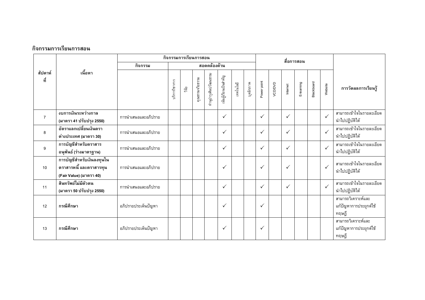#### กิจกรรมการเรียนการสอน

|                           |                                                                                 |                     | กิจกรรมการเรียนการสอน |                 |                       |                      |              |           |             | สื่อการสอน   |          |              |            |         |                     |                                                       |
|---------------------------|---------------------------------------------------------------------------------|---------------------|-----------------------|-----------------|-----------------------|----------------------|--------------|-----------|-------------|--------------|----------|--------------|------------|---------|---------------------|-------------------------------------------------------|
|                           |                                                                                 | กิจกรรม             |                       |                 |                       | สอดคล้องด้าน         |              |           |             |              |          |              |            |         |                     |                                                       |
| เนื้อหา<br>สัปดาห์<br>ที่ |                                                                                 | ปริการวิชาการ       | ្ត្រី<br>ភូមិ         | คุณธรรมจริยธรรม | กำนุบำรุงศิลปวัฒนธรรม | .นนผู้เรียนเป็นสำคัญ | เทคโนโลยี    | บุคลิกภาพ | Power point | VCD/DVD      | Internet | E-leaming    | Blackboard | Website | การวัดผลการเรียนรู้ |                                                       |
| $\overline{7}$            | งบการเงินระหว่างกาล<br>(มาตรา 41 ปรับปรุง 2550)                                 | การนำเสนอและอภิปราย |                       |                 |                       |                      | $\checkmark$ |           |             | $\checkmark$ |          | $\checkmark$ |            |         | $\checkmark$        | สามารถเข้าใจในรายละเอียด<br>นำไปปฏิบัติได้            |
| 8                         | อัตราแลกเปลี่ยนเงินตรา<br>ต่างประเทศ (มาตรา 30)                                 | การนำเสนอและอภิปราย |                       |                 |                       |                      | $\checkmark$ |           |             | $\checkmark$ |          | $\checkmark$ |            |         | $\checkmark$        | สามารถเข้าใจในรายละเอียด<br>นำไปปฏิบัติได้            |
| 9                         | การบัญชีสำหรับตราสาร<br>อนุพันธ์ (ร่างมาตรฐาน)                                  | การนำเสนอและอภิปราย |                       |                 |                       |                      | $\checkmark$ |           |             | $\checkmark$ |          | $\checkmark$ |            |         | $\checkmark$        | ์<br>สามารถเข้าใจในรายละเอียด<br>นำไปปฏิบัติได้       |
| 10                        | การบัญชีสำหรับเงินลงทุนใน<br>ตราสารหนี้ และตราสารทุน<br>(Fair Value) (มาตรา 40) | การนำเสนอและอภิปราย |                       |                 |                       |                      | $\checkmark$ |           |             | $\checkmark$ |          | $\checkmark$ |            |         | $\checkmark$        | สามารถเข้าใจในรายละเอียด<br>นำไปปฏิบัติได้            |
| 11                        | สินทรัพย์ไม่มีตัวตน<br>(มาตรา 50 ปรับปรุง 2550)                                 | การนำเสนอและอภิปราย |                       |                 |                       |                      | $\checkmark$ |           |             | $\checkmark$ |          | $\checkmark$ |            |         | $\checkmark$        | สามารถเข้าใจในรายละเอียด<br>นำไปปฏิบัติได้            |
| 12                        | กรณีศึกษา                                                                       | อภิปรายประเด็นปัญหา |                       |                 |                       |                      | $\checkmark$ |           |             | $\checkmark$ |          |              |            |         |                     | สามารถวิเคราะห์และ<br>แก้ปัญหาการประยุกต์ใช้<br>ทฤษฎี |
| 13                        | กรณีศึกษา                                                                       | อภิปรายประเด็นปัญหา |                       |                 |                       |                      | $\checkmark$ |           |             | $\checkmark$ |          |              |            |         |                     | สามารถวิเคราะห์และ<br>แก้ปัญหาการประยุกต์ใช้<br>ทฤษฎี |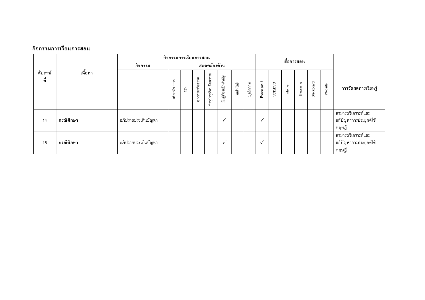#### กิจกรรมการเรียนการสอน

|                |           | กิจกรรมการเรียนการสอน |               |        |                 |                       |                       |           |           |             | สื่อการสอน |          |           |            |         |                                                       |
|----------------|-----------|-----------------------|---------------|--------|-----------------|-----------------------|-----------------------|-----------|-----------|-------------|------------|----------|-----------|------------|---------|-------------------------------------------------------|
|                |           | กิจกรรม               | สอดคล้องด้าน  |        |                 |                       |                       |           |           |             |            |          |           |            |         |                                                       |
| สัปดาห์<br>ที่ | เนื้อหา   |                       | บริการวิชาการ | រឹត្តិ | คุณธรรมจริยธรรม | ทำนุบำรุงศิลปวัฒนธรรม | เน็นผู้เรียนเป็นสำคัญ | เทคโนโลยี | บุคลิกภาพ | Power point | VCD/DVD    | Internet | E-leaming | Blackboard | Website | การวัดผลการเรียนรู้                                   |
| 14             | กรณีศึกษา | อภิปรายประเด็นปัญหา   |               |        |                 |                       | $\check{ }$           |           |           | $\check{ }$ |            |          |           |            |         | สามารถวิเคราะห์และ<br>แก้ปัญหาการประยุกต์ใช้<br>ทฤษฎี |
| 15             | กรณีศึกษา | อภิปรายประเด็นปัญหา   |               |        |                 |                       | $\checkmark$          |           |           | $\check{ }$ |            |          |           |            |         | สามารถวิเคราะห์และ<br>แก้ปัญหาการประยุกต์ใช้<br>ทฤษฎี |